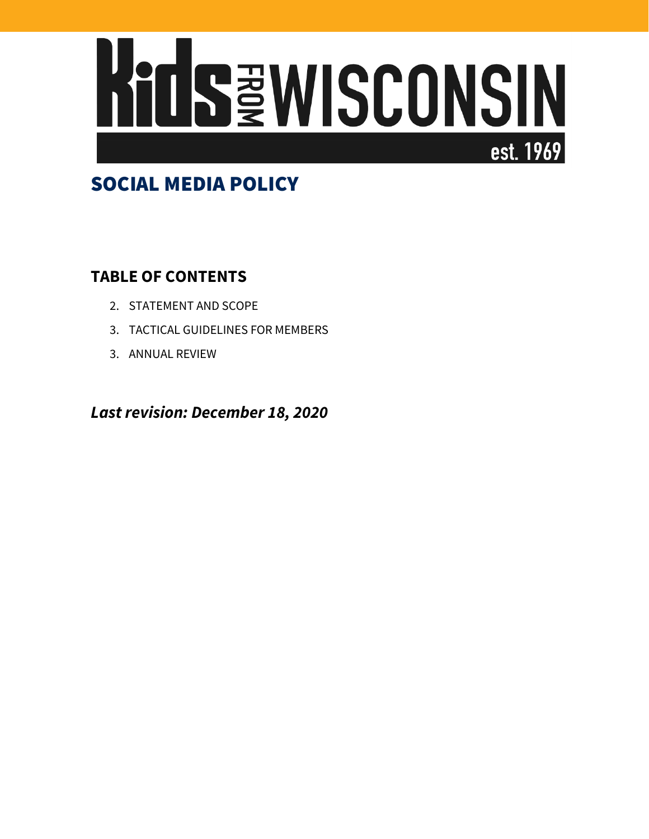

# SOCIAL MEDIA POLICY

# **TABLE OF CONTENTS**

- 2. STATEMENT AND SCOPE
- 3. TACTICAL GUIDELINES FOR MEMBERS
- 3. ANNUAL REVIEW

*Last revision: December 18, 2020*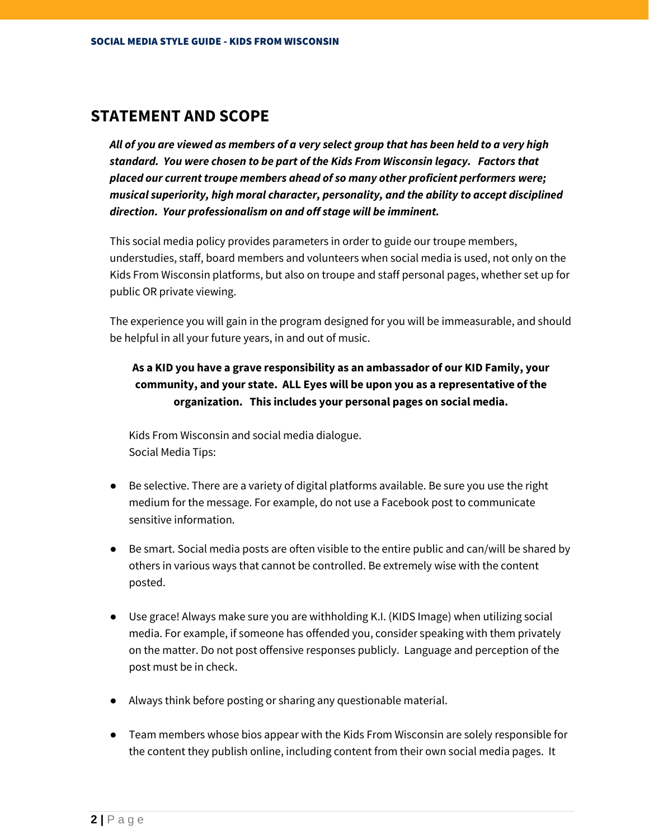### **STATEMENT AND SCOPE**

*All of you are viewed as members of a very select group that has been held to a very high standard. You were chosen to be part of the Kids From Wisconsin legacy. Factors that placed our current troupe members ahead of so many other proficient performers were; musical superiority, high moral character, personality, and the ability to accept disciplined direction. Your professionalism on and off stage will be imminent.* 

This social media policy provides parameters in order to guide our troupe members, understudies, staff, board members and volunteers when social media is used, not only on the Kids From Wisconsin platforms, but also on troupe and staff personal pages, whether set up for public OR private viewing.

The experience you will gain in the program designed for you will be immeasurable, and should be helpful in all your future years, in and out of music.

### **As a KID you have a grave responsibility as an ambassador of our KID Family, your community, and your state. ALL Eyes will be upon you as a representative of the organization. This includes your personal pages on social media.**

Kids From Wisconsin and social media dialogue. Social Media Tips:

- Be selective. There are a variety of digital platforms available. Be sure you use the right medium for the message. For example, do not use a Facebook post to communicate sensitive information.
- Be smart. Social media posts are often visible to the entire public and can/will be shared by others in various ways that cannot be controlled. Be extremely wise with the content posted.
- Use grace! Always make sure you are withholding K.I. (KIDS Image) when utilizing social media. For example, if someone has offended you, consider speaking with them privately on the matter. Do not post offensive responses publicly. Language and perception of the post must be in check.
- Always think before posting or sharing any questionable material.
- Team members whose bios appear with the Kids From Wisconsin are solely responsible for the content they publish online, including content from their own social media pages. It